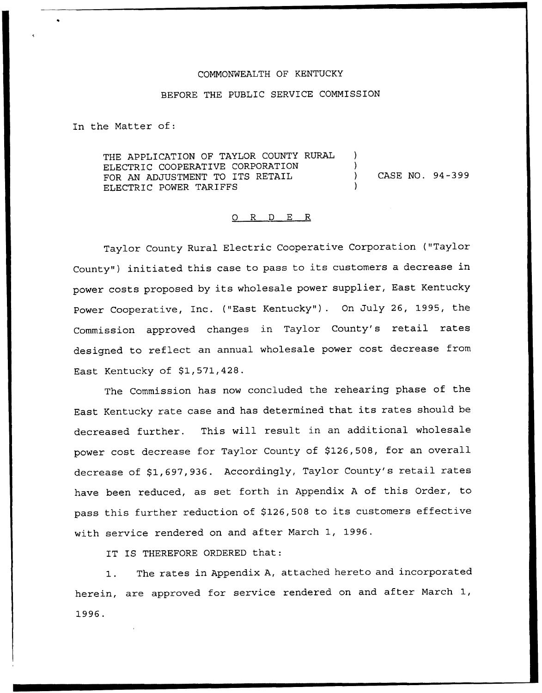### COMMONWEALTH OF KENTUCKY

### BEFORE THE PUBLIC SERVICE COMMISSION

In the Matter of:

THE APPLICATION OF TAYLOR COUNTY RURAL ELECTRIC COOPERATIVE CORPORATION ) FOR AN ADJUSTMENT TO ITS RETAIL (2008) CASE NO. 94-399 ELECTRIC POWER TARIFFS

#### 0 R <sup>D</sup> E R

Taylor County Rural Electric Cooperative Corporation ("Taylor County") initiated this case to pass to its customers a decrease in power costs proposed by its wholesale power supplier, East Kentucky Power Cooperative, Inc. ("East Kentucky"). On July 26, 1995, the Commission approved changes in Taylor County's retail rates designed to reflect an annual wholesale power cost decrease from East Kentucky of  $$1,571,428$ .

The Commission has now concluded the rehearing phase of the East Kentucky rate case and has determined that its rates should be decreased further. This will result in an additional wholesale power cost decrease for Taylor County of \$126,508, for an overall decrease of \$1,697,936. Accordingly, Taylor County's retail rates have been reduced, as set forth in Appendix <sup>A</sup> of this Order, to pass this further reduction of \$126,508 to its customers effective with service rendered on and after March 1, 1996.

IT IS THEREFORE ORDERED that:

1. The rates in Appendix A, attached hereto and incorporated herein, are approved for service rendered on and after March 1, 1996.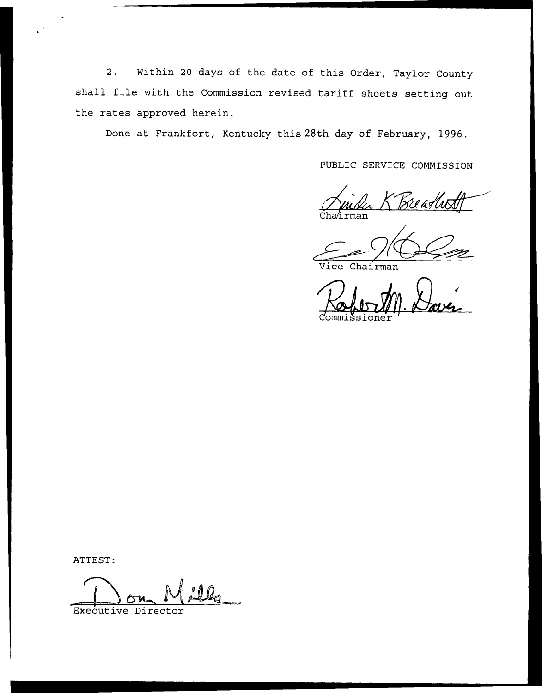2. Within <sup>20</sup> days of the date of this Order, Taylor County shall file with the Commission revised tariff sheets setting out the rates approved herein.

Done at Frankfort, Kentucky this 28th day of February, 1996.

PUBLIC SERVICE COMMISSION

irman Breadus

Vice Chairman

Commissione

ATTEST:

Executive Director